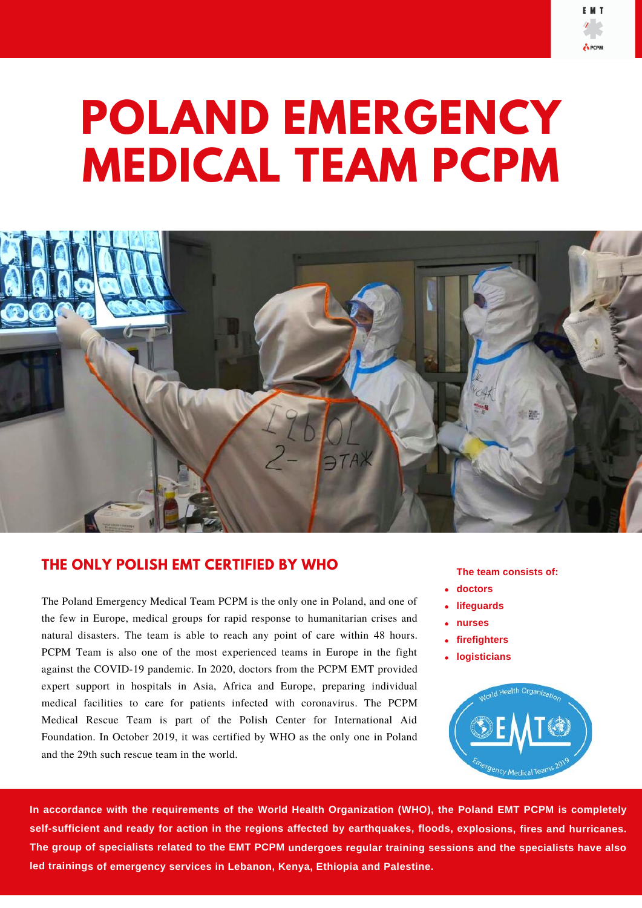



## **THE ONLY POLISH EMT CERTIFIED BY WHO**

The Poland Emergency Medical Team PCPM is the only one in Poland, and one of the few in Europe, medical groups for rapid response to humanitarian crises and natural disasters. The team is able to reach any point of care within 48 hours. PCPM Team is also one of the most experienced teams in Europe in the fight against the COVID-19 pandemic. In 2020, doctors from the PCPM EMT provided expert support in hospitals in Asia, Africa and Europe, preparing individual medical facilities to care for patients infected with coronavirus. The PCPM Medical Rescue Team is part of the Polish Center for International Aid Foundation. In October 2019, it was certified by WHO as the only one in Poland and the 29th such rescue team in the world.

## **The team consists of:**

- **doctors**
- **lifeguards**
- **nurses**
- **firefighters**
- **logisticians**



In accordance with the requirements of the World Health Organization (WHO), the Poland EMT PCPM is completely self-sufficient and ready for action in the regions affected by earthquakes, floods, explosions, fires and hurricanes. The group of specialists related to the EMT PCPM undergoes regular training sessions and the specialists have also **led trainings of emergency services in Lebanon, Kenya, Ethiopia and Palestine.**